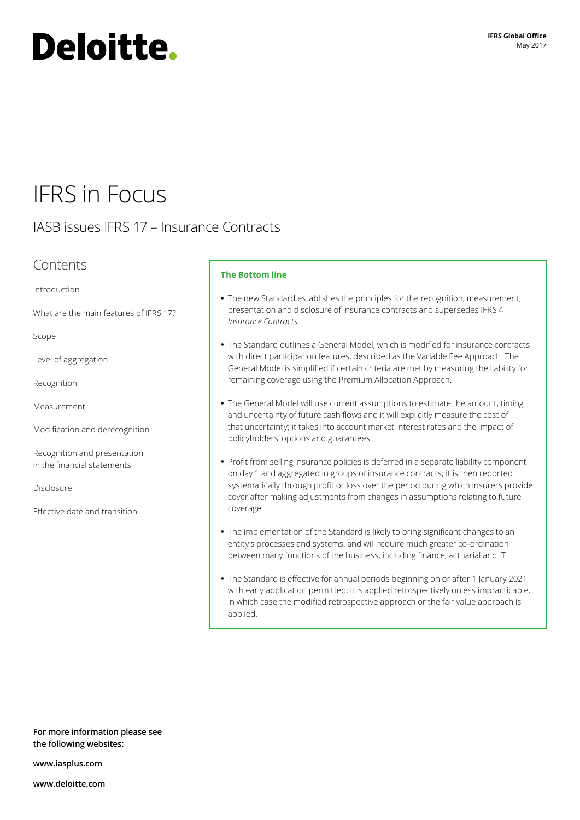# **Deloitte.**

# IFRS in Focus

## IASB issues IFRS 17 – Insurance Contracts

### Contents

[Introduction](#page-1-0)

[What are the main features of IFRS 17?](#page-1-1)

[Scope](#page-2-0)

[Level of aggregation](#page-3-0)

[Recognition](#page-4-0)

[Measurement](#page-4-1)

[Modification and derecognition](#page-7-0)

[Recognition and presentation](#page-8-0)  [in the financial statements](#page-8-0)

**[Disclosure](#page-8-1)** 

[Effective date and transition](#page-9-0)

#### **The Bottom line**

- **•** The new Standard establishes the principles for the recognition, measurement, presentation and disclosure of insurance contracts and supersedes IFRS 4 *Insurance Contracts*.
- **•** The Standard outlines a General Model, which is modified for insurance contracts with direct participation features, described as the Variable Fee Approach. The General Model is simplified if certain criteria are met by measuring the liability for remaining coverage using the Premium Allocation Approach.
- **•** The General Model will use current assumptions to estimate the amount, timing and uncertainty of future cash flows and it will explicitly measure the cost of that uncertainty; it takes into account market interest rates and the impact of policyholders' options and guarantees.
- **•** Profit from selling insurance policies is deferred in a separate liability component on day 1 and aggregated in groups of insurance contracts; it is then reported systematically through profit or loss over the period during which insurers provide cover after making adjustments from changes in assumptions relating to future coverage.
- **•** The implementation of the Standard is likely to bring significant changes to an entity's processes and systems, and will require much greater co‑ordination between many functions of the business, including finance, actuarial and IT.
- **•** The Standard is effective for annual periods beginning on or after 1 January 2021 with early application permitted; it is applied retrospectively unless impracticable, in which case the modified retrospective approach or the fair value approach is applied.

**For more information please see the following websites:**

**[www.iasplus.com](http://www.iasplus.com)**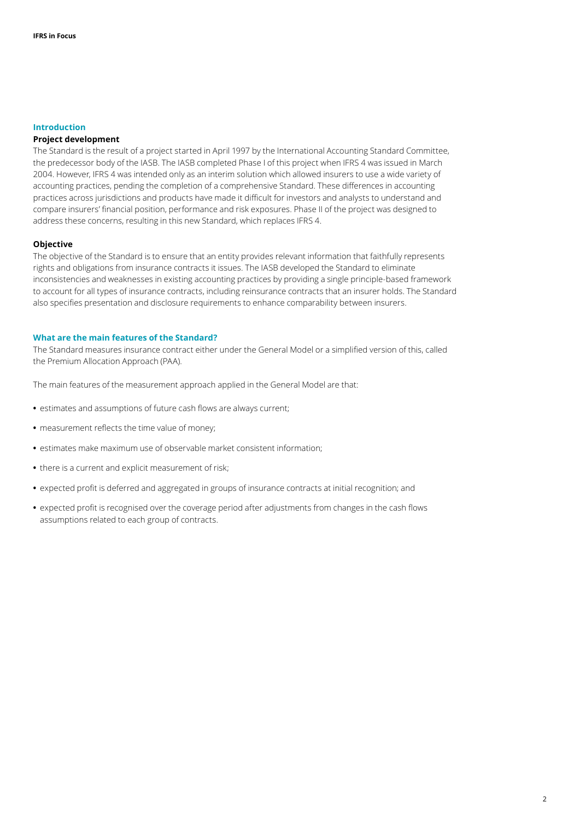#### <span id="page-1-0"></span>**Introduction**

#### **Project development**

The Standard is the result of a project started in April 1997 by the International Accounting Standard Committee, the predecessor body of the IASB. The IASB completed Phase I of this project when IFRS 4 was issued in March 2004. However, IFRS 4 was intended only as an interim solution which allowed insurers to use a wide variety of accounting practices, pending the completion of a comprehensive Standard. These differences in accounting practices across jurisdictions and products have made it difficult for investors and analysts to understand and compare insurers' financial position, performance and risk exposures. Phase II of the project was designed to address these concerns, resulting in this new Standard, which replaces IFRS 4.

#### **Objective**

The objective of the Standard is to ensure that an entity provides relevant information that faithfully represents rights and obligations from insurance contracts it issues. The IASB developed the Standard to eliminate inconsistencies and weaknesses in existing accounting practices by providing a single principle-based framework to account for all types of insurance contracts, including reinsurance contracts that an insurer holds. The Standard also specifies presentation and disclosure requirements to enhance comparability between insurers.

#### <span id="page-1-1"></span>**What are the main features of the Standard?**

The Standard measures insurance contract either under the General Model or a simplified version of this, called the Premium Allocation Approach (PAA).

The main features of the measurement approach applied in the General Model are that:

- **•** estimates and assumptions of future cash flows are always current;
- **•** measurement reflects the time value of money;
- **•** estimates make maximum use of observable market consistent information;
- **•** there is a current and explicit measurement of risk;
- **•** expected profit is deferred and aggregated in groups of insurance contracts at initial recognition; and
- **•** expected profit is recognised over the coverage period after adjustments from changes in the cash flows assumptions related to each group of contracts.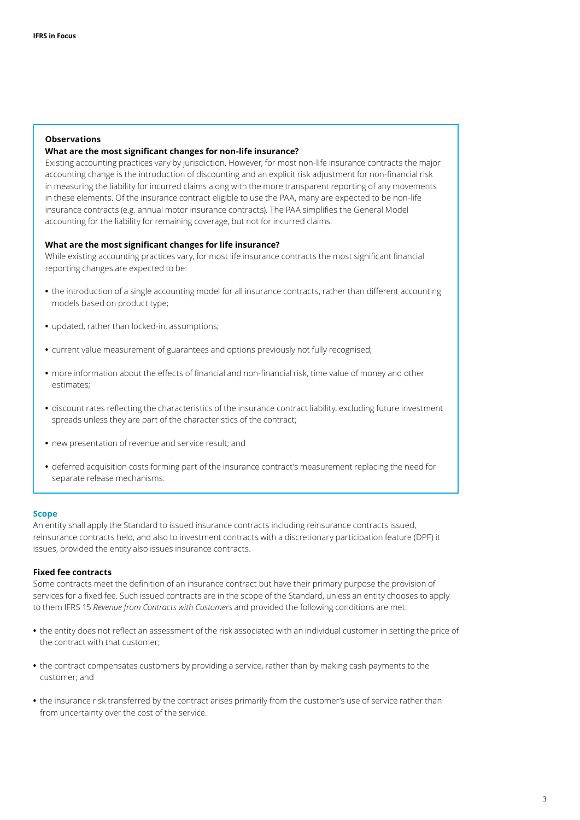#### **Observations**

#### **What are the most significant changes for non‑life insurance?**

Existing accounting practices vary by jurisdiction. However, for most non-life insurance contracts the major accounting change is the introduction of discounting and an explicit risk adjustment for non-financial risk in measuring the liability for incurred claims along with the more transparent reporting of any movements in these elements. Of the insurance contract eligible to use the PAA, many are expected to be non-life insurance contracts (e.g. annual motor insurance contracts). The PAA simplifies the General Model accounting for the liability for remaining coverage, but not for incurred claims.

#### **What are the most significant changes for life insurance?**

While existing accounting practices vary, for most life insurance contracts the most significant financial reporting changes are expected to be:

- **•** the introduction of a single accounting model for all insurance contracts, rather than different accounting models based on product type;
- **•** updated, rather than locked‑in, assumptions;
- **•** current value measurement of guarantees and options previously not fully recognised;
- more information about the effects of financial and non-financial risk, time value of money and other estimates;
- **•** discount rates reflecting the characteristics of the insurance contract liability, excluding future investment spreads unless they are part of the characteristics of the contract;
- **•** new presentation of revenue and service result; and
- **•** deferred acquisition costs forming part of the insurance contract's measurement replacing the need for separate release mechanisms.

#### <span id="page-2-0"></span>**Scope**

An entity shall apply the Standard to issued insurance contracts including reinsurance contracts issued, reinsurance contracts held, and also to investment contracts with a discretionary participation feature (DPF) it issues, provided the entity also issues insurance contracts.

#### **Fixed fee contracts**

Some contracts meet the definition of an insurance contract but have their primary purpose the provision of services for a fixed fee. Such issued contracts are in the scope of the Standard, unless an entity chooses to apply to them IFRS 15 *Revenue from Contracts with Customers* and provided the following conditions are met:

- **•** the entity does not reflect an assessment of the risk associated with an individual customer in setting the price of the contract with that customer;
- **•** the contract compensates customers by providing a service, rather than by making cash payments to the customer; and
- **•** the insurance risk transferred by the contract arises primarily from the customer's use of service rather than from uncertainty over the cost of the service.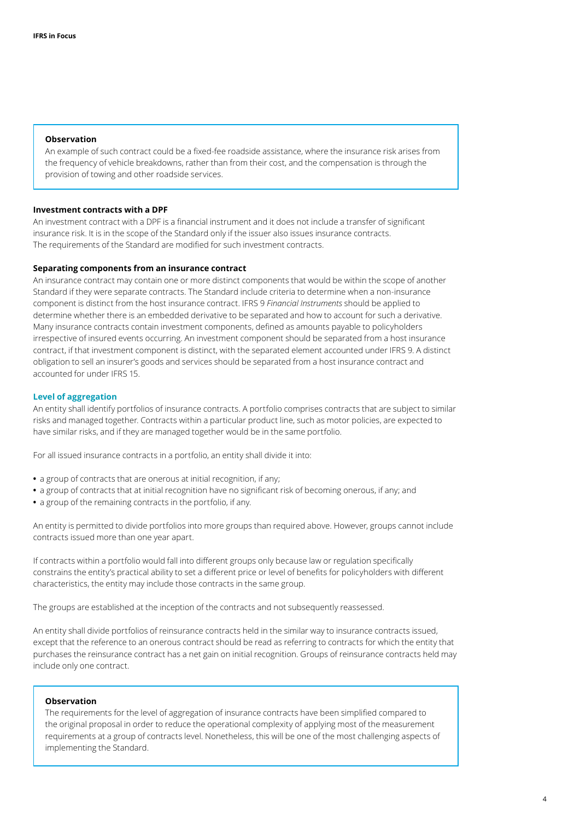#### **Observation**

An example of such contract could be a fixed-fee roadside assistance, where the insurance risk arises from the frequency of vehicle breakdowns, rather than from their cost, and the compensation is through the provision of towing and other roadside services.

#### **Investment contracts with a DPF**

An investment contract with a DPF is a financial instrument and it does not include a transfer of significant insurance risk. It is in the scope of the Standard only if the issuer also issues insurance contracts. The requirements of the Standard are modified for such investment contracts.

#### **Separating components from an insurance contract**

An insurance contract may contain one or more distinct components that would be within the scope of another Standard if they were separate contracts. The Standard include criteria to determine when a non‑insurance component is distinct from the host insurance contract. IFRS 9 *Financial Instruments* should be applied to determine whether there is an embedded derivative to be separated and how to account for such a derivative. Many insurance contracts contain investment components, defined as amounts payable to policyholders irrespective of insured events occurring. An investment component should be separated from a host insurance contract, if that investment component is distinct, with the separated element accounted under IFRS 9. A distinct obligation to sell an insurer's goods and services should be separated from a host insurance contract and accounted for under IFRS 15.

#### <span id="page-3-0"></span>**Level of aggregation**

An entity shall identify portfolios of insurance contracts. A portfolio comprises contracts that are subject to similar risks and managed together. Contracts within a particular product line, such as motor policies, are expected to have similar risks, and if they are managed together would be in the same portfolio.

For all issued insurance contracts in a portfolio, an entity shall divide it into:

- **•** a group of contracts that are onerous at initial recognition, if any;
- **•** a group of contracts that at initial recognition have no significant risk of becoming onerous, if any; and
- **•** a group of the remaining contracts in the portfolio, if any.

An entity is permitted to divide portfolios into more groups than required above. However, groups cannot include contracts issued more than one year apart.

If contracts within a portfolio would fall into different groups only because law or regulation specifically constrains the entity's practical ability to set a different price or level of benefits for policyholders with different characteristics, the entity may include those contracts in the same group.

The groups are established at the inception of the contracts and not subsequently reassessed.

An entity shall divide portfolios of reinsurance contracts held in the similar way to insurance contracts issued, except that the reference to an onerous contract should be read as referring to contracts for which the entity that purchases the reinsurance contract has a net gain on initial recognition. Groups of reinsurance contracts held may include only one contract.

#### **Observation**

The requirements for the level of aggregation of insurance contracts have been simplified compared to the original proposal in order to reduce the operational complexity of applying most of the measurement requirements at a group of contracts level. Nonetheless, this will be one of the most challenging aspects of implementing the Standard.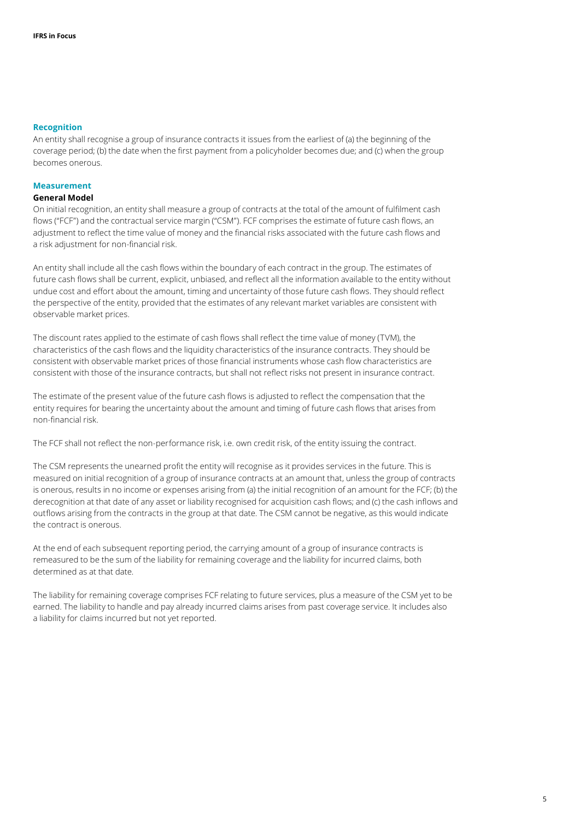#### <span id="page-4-0"></span>**Recognition**

An entity shall recognise a group of insurance contracts it issues from the earliest of (a) the beginning of the coverage period; (b) the date when the first payment from a policyholder becomes due; and (c) when the group becomes onerous.

#### <span id="page-4-1"></span>**Measurement**

#### **General Model**

On initial recognition, an entity shall measure a group of contracts at the total of the amount of fulfilment cash flows ("FCF") and the contractual service margin ("CSM"). FCF comprises the estimate of future cash flows, an adjustment to reflect the time value of money and the financial risks associated with the future cash flows and a risk adjustment for non‑financial risk.

An entity shall include all the cash flows within the boundary of each contract in the group. The estimates of future cash flows shall be current, explicit, unbiased, and reflect all the information available to the entity without undue cost and effort about the amount, timing and uncertainty of those future cash flows. They should reflect the perspective of the entity, provided that the estimates of any relevant market variables are consistent with observable market prices.

The discount rates applied to the estimate of cash flows shall reflect the time value of money (TVM), the characteristics of the cash flows and the liquidity characteristics of the insurance contracts. They should be consistent with observable market prices of those financial instruments whose cash flow characteristics are consistent with those of the insurance contracts, but shall not reflect risks not present in insurance contract.

The estimate of the present value of the future cash flows is adjusted to reflect the compensation that the entity requires for bearing the uncertainty about the amount and timing of future cash flows that arises from non‑financial risk.

The FCF shall not reflect the non-performance risk, i.e. own credit risk, of the entity issuing the contract.

The CSM represents the unearned profit the entity will recognise as it provides services in the future. This is measured on initial recognition of a group of insurance contracts at an amount that, unless the group of contracts is onerous, results in no income or expenses arising from (a) the initial recognition of an amount for the FCF; (b) the derecognition at that date of any asset or liability recognised for acquisition cash flows; and (c) the cash inflows and outflows arising from the contracts in the group at that date. The CSM cannot be negative, as this would indicate the contract is onerous.

At the end of each subsequent reporting period, the carrying amount of a group of insurance contracts is remeasured to be the sum of the liability for remaining coverage and the liability for incurred claims, both determined as at that date.

The liability for remaining coverage comprises FCF relating to future services, plus a measure of the CSM yet to be earned. The liability to handle and pay already incurred claims arises from past coverage service. It includes also a liability for claims incurred but not yet reported.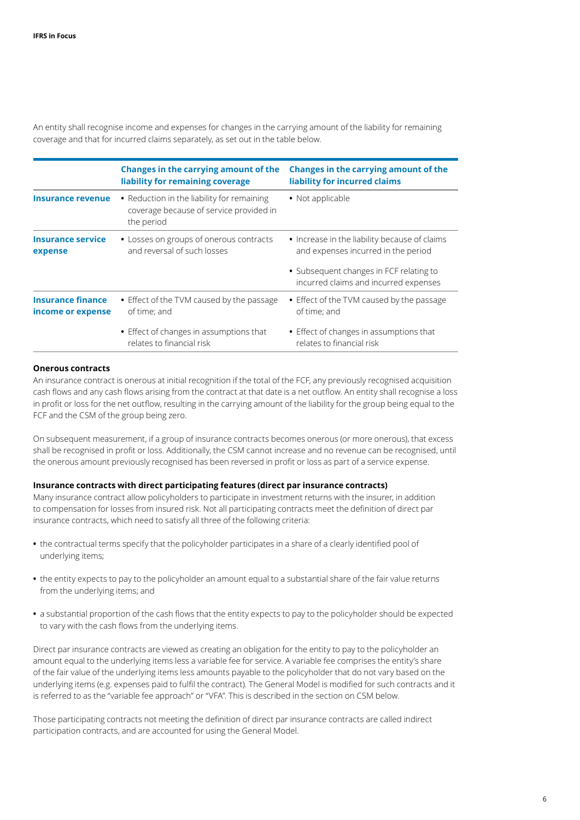An entity shall recognise income and expenses for changes in the carrying amount of the liability for remaining coverage and that for incurred claims separately, as set out in the table below.

|                                               | Changes in the carrying amount of the<br>liability for remaining coverage                           | <b>Changes in the carrying amount of the</b><br>liability for incurred claims        |
|-----------------------------------------------|-----------------------------------------------------------------------------------------------------|--------------------------------------------------------------------------------------|
| Insurance revenue                             | • Reduction in the liability for remaining<br>coverage because of service provided in<br>the period | • Not applicable                                                                     |
| <b>Insurance service</b><br>expense           | • Losses on groups of onerous contracts<br>and reversal of such losses                              | • Increase in the liability because of claims<br>and expenses incurred in the period |
|                                               |                                                                                                     | • Subsequent changes in FCF relating to<br>incurred claims and incurred expenses     |
| <b>Insurance finance</b><br>income or expense | • Effect of the TVM caused by the passage<br>of time: and                                           | • Effect of the TVM caused by the passage<br>of time; and                            |
|                                               | • Effect of changes in assumptions that<br>relates to financial risk                                | • Effect of changes in assumptions that<br>relates to financial risk                 |

#### **Onerous contracts**

An insurance contract is onerous at initial recognition if the total of the FCF, any previously recognised acquisition cash flows and any cash flows arising from the contract at that date is a net outflow. An entity shall recognise a loss in profit or loss for the net outflow, resulting in the carrying amount of the liability for the group being equal to the FCF and the CSM of the group being zero.

On subsequent measurement, if a group of insurance contracts becomes onerous (or more onerous), that excess shall be recognised in profit or loss. Additionally, the CSM cannot increase and no revenue can be recognised, until the onerous amount previously recognised has been reversed in profit or loss as part of a service expense.

#### **Insurance contracts with direct participating features (direct par insurance contracts)**

Many insurance contract allow policyholders to participate in investment returns with the insurer, in addition to compensation for losses from insured risk. Not all participating contracts meet the definition of direct par insurance contracts, which need to satisfy all three of the following criteria:

- **•** the contractual terms specify that the policyholder participates in a share of a clearly identified pool of underlying items;
- **•** the entity expects to pay to the policyholder an amount equal to a substantial share of the fair value returns from the underlying items; and
- **•** a substantial proportion of the cash flows that the entity expects to pay to the policyholder should be expected to vary with the cash flows from the underlying items.

Direct par insurance contracts are viewed as creating an obligation for the entity to pay to the policyholder an amount equal to the underlying items less a variable fee for service. A variable fee comprises the entity's share of the fair value of the underlying items less amounts payable to the policyholder that do not vary based on the underlying items (e.g. expenses paid to fulfil the contract). The General Model is modified for such contracts and it is referred to as the "variable fee approach" or "VFA". This is described in the section on CSM below.

Those participating contracts not meeting the definition of direct par insurance contracts are called indirect participation contracts, and are accounted for using the General Model.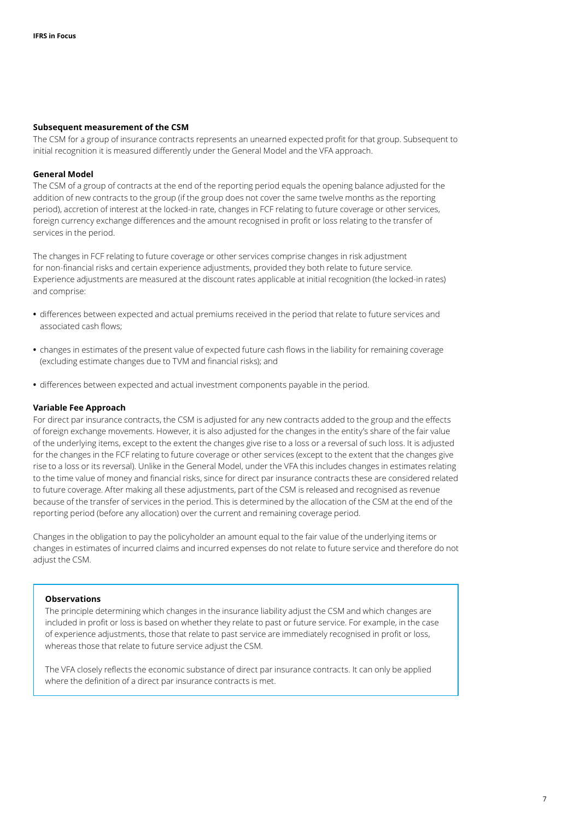#### **Subsequent measurement of the CSM**

The CSM for a group of insurance contracts represents an unearned expected profit for that group. Subsequent to initial recognition it is measured differently under the General Model and the VFA approach.

#### **General Model**

The CSM of a group of contracts at the end of the reporting period equals the opening balance adjusted for the addition of new contracts to the group (if the group does not cover the same twelve months as the reporting period), accretion of interest at the locked‑in rate, changes in FCF relating to future coverage or other services, foreign currency exchange differences and the amount recognised in profit or loss relating to the transfer of services in the period.

The changes in FCF relating to future coverage or other services comprise changes in risk adjustment for non-financial risks and certain experience adjustments, provided they both relate to future service. Experience adjustments are measured at the discount rates applicable at initial recognition (the locked-in rates) and comprise:

- **•** differences between expected and actual premiums received in the period that relate to future services and associated cash flows;
- **•** changes in estimates of the present value of expected future cash flows in the liability for remaining coverage (excluding estimate changes due to TVM and financial risks); and
- **•** differences between expected and actual investment components payable in the period.

#### **Variable Fee Approach**

For direct par insurance contracts, the CSM is adjusted for any new contracts added to the group and the effects of foreign exchange movements. However, it is also adjusted for the changes in the entity's share of the fair value of the underlying items, except to the extent the changes give rise to a loss or a reversal of such loss. It is adjusted for the changes in the FCF relating to future coverage or other services (except to the extent that the changes give rise to a loss or its reversal). Unlike in the General Model, under the VFA this includes changes in estimates relating to the time value of money and financial risks, since for direct par insurance contracts these are considered related to future coverage. After making all these adjustments, part of the CSM is released and recognised as revenue because of the transfer of services in the period. This is determined by the allocation of the CSM at the end of the reporting period (before any allocation) over the current and remaining coverage period.

Changes in the obligation to pay the policyholder an amount equal to the fair value of the underlying items or changes in estimates of incurred claims and incurred expenses do not relate to future service and therefore do not adjust the CSM.

#### **Observations**

The principle determining which changes in the insurance liability adjust the CSM and which changes are included in profit or loss is based on whether they relate to past or future service. For example, in the case of experience adjustments, those that relate to past service are immediately recognised in profit or loss, whereas those that relate to future service adjust the CSM.

The VFA closely reflects the economic substance of direct par insurance contracts. It can only be applied where the definition of a direct par insurance contracts is met.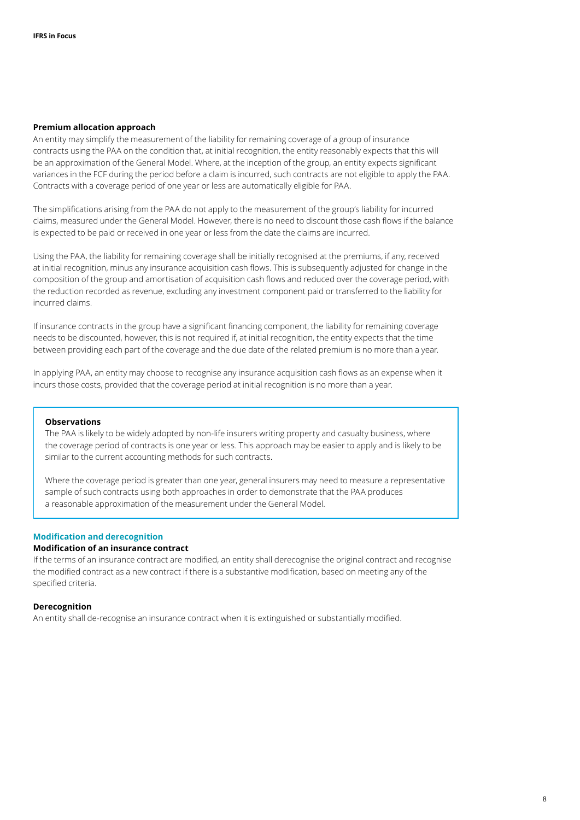#### **Premium allocation approach**

An entity may simplify the measurement of the liability for remaining coverage of a group of insurance contracts using the PAA on the condition that, at initial recognition, the entity reasonably expects that this will be an approximation of the General Model. Where, at the inception of the group, an entity expects significant variances in the FCF during the period before a claim is incurred, such contracts are not eligible to apply the PAA. Contracts with a coverage period of one year or less are automatically eligible for PAA.

The simplifications arising from the PAA do not apply to the measurement of the group's liability for incurred claims, measured under the General Model. However, there is no need to discount those cash flows if the balance is expected to be paid or received in one year or less from the date the claims are incurred.

Using the PAA, the liability for remaining coverage shall be initially recognised at the premiums, if any, received at initial recognition, minus any insurance acquisition cash flows. This is subsequently adjusted for change in the composition of the group and amortisation of acquisition cash flows and reduced over the coverage period, with the reduction recorded as revenue, excluding any investment component paid or transferred to the liability for incurred claims.

If insurance contracts in the group have a significant financing component, the liability for remaining coverage needs to be discounted, however, this is not required if, at initial recognition, the entity expects that the time between providing each part of the coverage and the due date of the related premium is no more than a year.

In applying PAA, an entity may choose to recognise any insurance acquisition cash flows as an expense when it incurs those costs, provided that the coverage period at initial recognition is no more than a year.

#### **Observations**

The PAA is likely to be widely adopted by non-life insurers writing property and casualty business, where the coverage period of contracts is one year or less. This approach may be easier to apply and is likely to be similar to the current accounting methods for such contracts.

Where the coverage period is greater than one year, general insurers may need to measure a representative sample of such contracts using both approaches in order to demonstrate that the PAA produces a reasonable approximation of the measurement under the General Model.

#### <span id="page-7-0"></span>**Modification and derecognition**

#### **Modification of an insurance contract**

If the terms of an insurance contract are modified, an entity shall derecognise the original contract and recognise the modified contract as a new contract if there is a substantive modification, based on meeting any of the specified criteria.

#### **Derecognition**

An entity shall de‑recognise an insurance contract when it is extinguished or substantially modified.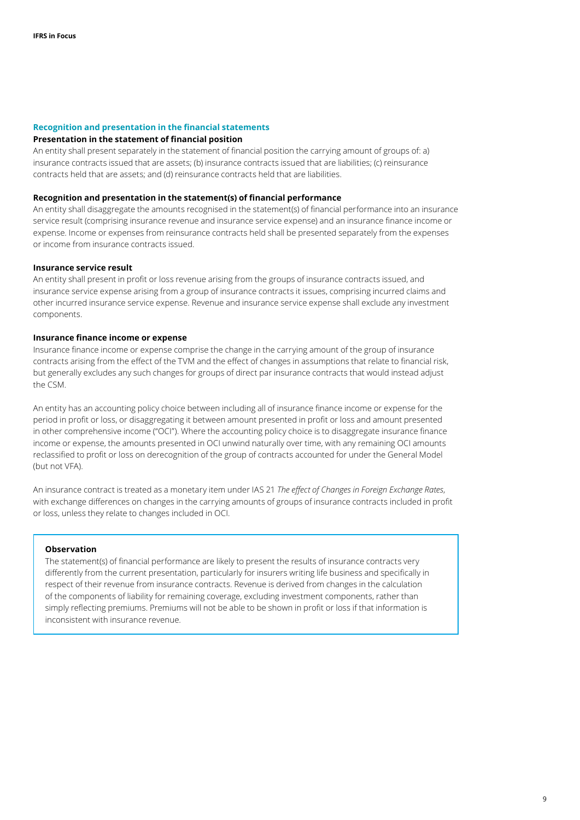#### <span id="page-8-0"></span>**Recognition and presentation in the financial statements**

#### **Presentation in the statement of financial position**

An entity shall present separately in the statement of financial position the carrying amount of groups of: a) insurance contracts issued that are assets; (b) insurance contracts issued that are liabilities; (c) reinsurance contracts held that are assets; and (d) reinsurance contracts held that are liabilities.

#### **Recognition and presentation in the statement(s) of financial performance**

An entity shall disaggregate the amounts recognised in the statement(s) of financial performance into an insurance service result (comprising insurance revenue and insurance service expense) and an insurance finance income or expense. Income or expenses from reinsurance contracts held shall be presented separately from the expenses or income from insurance contracts issued.

#### **Insurance service result**

An entity shall present in profit or loss revenue arising from the groups of insurance contracts issued, and insurance service expense arising from a group of insurance contracts it issues, comprising incurred claims and other incurred insurance service expense. Revenue and insurance service expense shall exclude any investment components.

#### **Insurance finance income or expense**

Insurance finance income or expense comprise the change in the carrying amount of the group of insurance contracts arising from the effect of the TVM and the effect of changes in assumptions that relate to financial risk, but generally excludes any such changes for groups of direct par insurance contracts that would instead adjust the CSM.

An entity has an accounting policy choice between including all of insurance finance income or expense for the period in profit or loss, or disaggregating it between amount presented in profit or loss and amount presented in other comprehensive income ("OCI"). Where the accounting policy choice is to disaggregate insurance finance income or expense, the amounts presented in OCI unwind naturally over time, with any remaining OCI amounts reclassified to profit or loss on derecognition of the group of contracts accounted for under the General Model (but not VFA).

An insurance contract is treated as a monetary item under IAS 21 *The effect of Changes in Foreign Exchange Rates*, with exchange differences on changes in the carrying amounts of groups of insurance contracts included in profit or loss, unless they relate to changes included in OCI.

#### **Observation**

<span id="page-8-1"></span>The statement(s) of financial performance are likely to present the results of insurance contracts very differently from the current presentation, particularly for insurers writing life business and specifically in respect of their revenue from insurance contracts. Revenue is derived from changes in the calculation of the components of liability for remaining coverage, excluding investment components, rather than simply reflecting premiums. Premiums will not be able to be shown in profit or loss if that information is inconsistent with insurance revenue.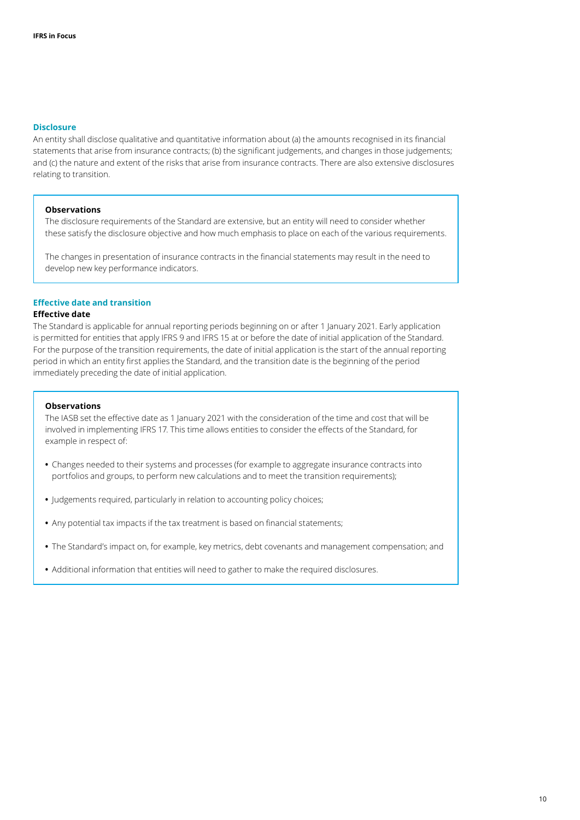#### **Disclosure**

An entity shall disclose qualitative and quantitative information about (a) the amounts recognised in its financial statements that arise from insurance contracts; (b) the significant judgements, and changes in those judgements; and (c) the nature and extent of the risks that arise from insurance contracts. There are also extensive disclosures relating to transition.

#### **Observations**

The disclosure requirements of the Standard are extensive, but an entity will need to consider whether these satisfy the disclosure objective and how much emphasis to place on each of the various requirements.

The changes in presentation of insurance contracts in the financial statements may result in the need to develop new key performance indicators.

#### <span id="page-9-0"></span>**Effective date and transition**

#### **Effective date**

The Standard is applicable for annual reporting periods beginning on or after 1 January 2021. Early application is permitted for entities that apply IFRS 9 and IFRS 15 at or before the date of initial application of the Standard. For the purpose of the transition requirements, the date of initial application is the start of the annual reporting period in which an entity first applies the Standard, and the transition date is the beginning of the period immediately preceding the date of initial application.

#### **Observations**

The IASB set the effective date as 1 January 2021 with the consideration of the time and cost that will be involved in implementing IFRS 17. This time allows entities to consider the effects of the Standard, for example in respect of:

- **•** Changes needed to their systems and processes (for example to aggregate insurance contracts into portfolios and groups, to perform new calculations and to meet the transition requirements);
- **•** Judgements required, particularly in relation to accounting policy choices;
- **•** Any potential tax impacts if the tax treatment is based on financial statements;
- **•** The Standard's impact on, for example, key metrics, debt covenants and management compensation; and
- **•** Additional information that entities will need to gather to make the required disclosures.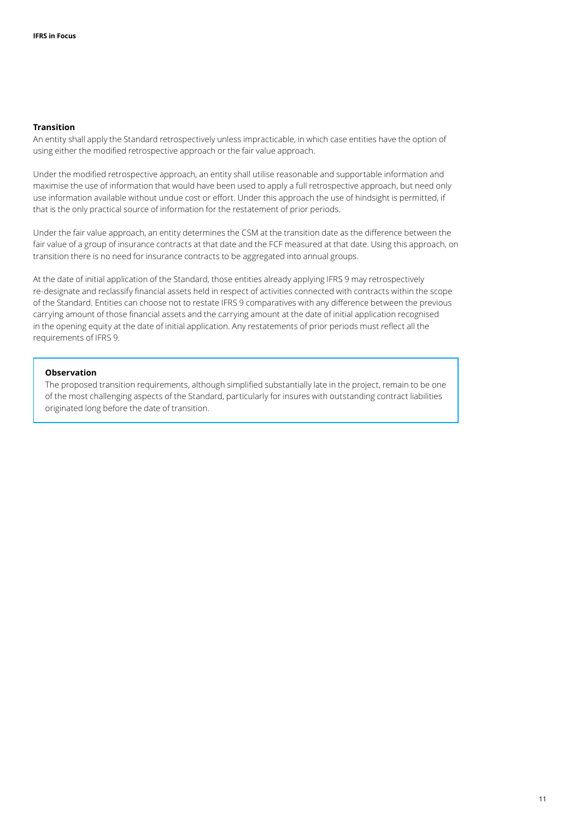#### **Transition**

An entity shall apply the Standard retrospectively unless impracticable, in which case entities have the option of using either the modified retrospective approach or the fair value approach.

Under the modified retrospective approach, an entity shall utilise reasonable and supportable information and maximise the use of information that would have been used to apply a full retrospective approach, but need only use information available without undue cost or effort. Under this approach the use of hindsight is permitted, if that is the only practical source of information for the restatement of prior periods.

Under the fair value approach, an entity determines the CSM at the transition date as the difference between the fair value of a group of insurance contracts at that date and the FCF measured at that date. Using this approach, on transition there is no need for insurance contracts to be aggregated into annual groups.

At the date of initial application of the Standard, those entities already applying IFRS 9 may retrospectively re‑designate and reclassify financial assets held in respect of activities connected with contracts within the scope of the Standard. Entities can choose not to restate IFRS 9 comparatives with any difference between the previous carrying amount of those financial assets and the carrying amount at the date of initial application recognised in the opening equity at the date of initial application. Any restatements of prior periods must reflect all the requirements of IFRS 9.

#### **Observation**

The proposed transition requirements, although simplified substantially late in the project, remain to be one of the most challenging aspects of the Standard, particularly for insures with outstanding contract liabilities originated long before the date of transition.